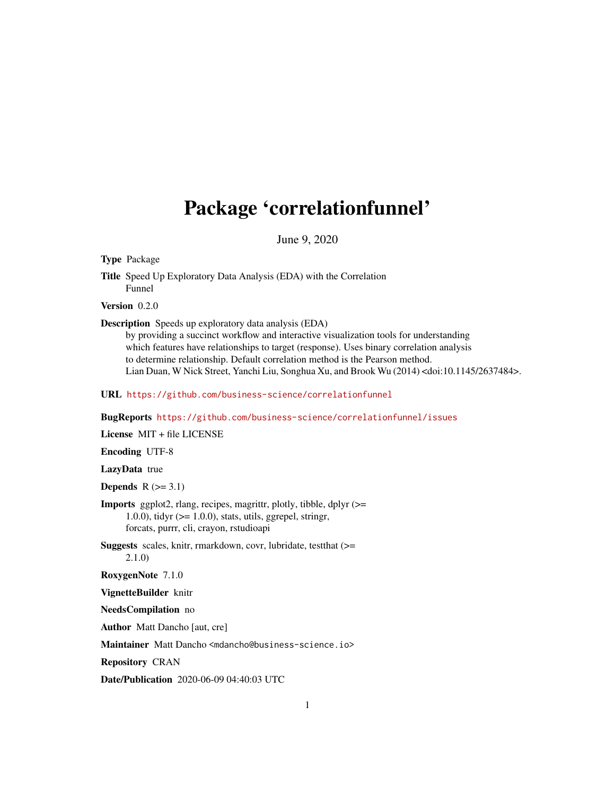## <span id="page-0-0"></span>Package 'correlationfunnel'

June 9, 2020

Type Package

Title Speed Up Exploratory Data Analysis (EDA) with the Correlation Funnel

Version 0.2.0

Description Speeds up exploratory data analysis (EDA)

by providing a succinct workflow and interactive visualization tools for understanding which features have relationships to target (response). Uses binary correlation analysis to determine relationship. Default correlation method is the Pearson method. Lian Duan, W Nick Street, Yanchi Liu, Songhua Xu, and Brook Wu (2014) <doi:10.1145/2637484>.

URL <https://github.com/business-science/correlationfunnel>

BugReports <https://github.com/business-science/correlationfunnel/issues>

License MIT + file LICENSE

Encoding UTF-8

LazyData true

Depends  $R$  ( $>=$  3.1)

Imports ggplot2, rlang, recipes, magrittr, plotly, tibble, dplyr (>= 1.0.0), tidyr  $(>= 1.0.0)$ , stats, utils, ggrepel, stringr, forcats, purrr, cli, crayon, rstudioapi

Suggests scales, knitr, rmarkdown, covr, lubridate, testthat (>= 2.1.0)

RoxygenNote 7.1.0

VignetteBuilder knitr

NeedsCompilation no

Author Matt Dancho [aut, cre]

Maintainer Matt Dancho <mdancho@business-science.io>

Repository CRAN

Date/Publication 2020-06-09 04:40:03 UTC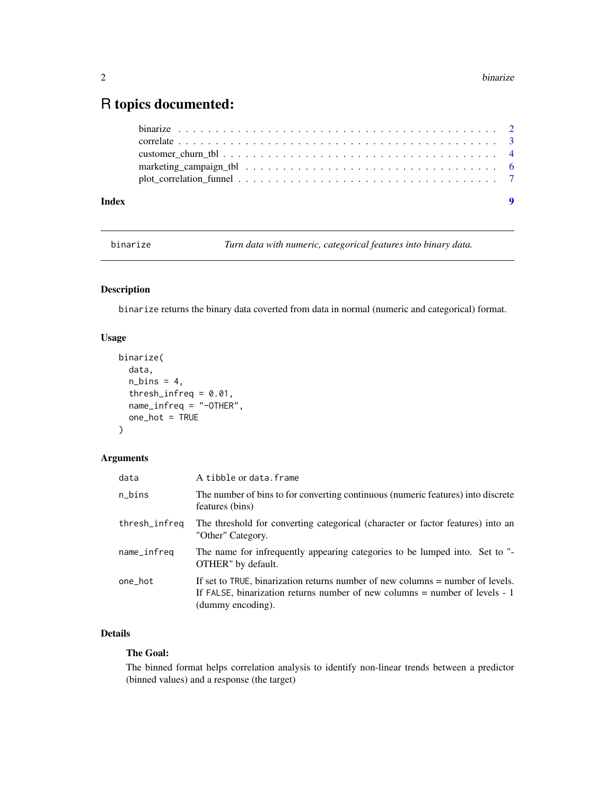### <span id="page-1-0"></span>R topics documented:

| Index | $\bullet$ |
|-------|-----------|
|       |           |
|       |           |
|       |           |
|       |           |
|       |           |

<span id="page-1-1"></span>binarize *Turn data with numeric, categorical features into binary data.*

#### Description

binarize returns the binary data coverted from data in normal (numeric and categorical) format.

#### Usage

```
binarize(
  data,
 n_bins = 4,
  thresh_infreq = 0.01,
 name_infreq = "-OTHER",
  one_hot = TRUE
)
```
#### Arguments

| data          | A tibble or data.frame                                                                                                                                                                |
|---------------|---------------------------------------------------------------------------------------------------------------------------------------------------------------------------------------|
| n_bins        | The number of bins to for converting continuous (numeric features) into discrete<br>features (bins)                                                                                   |
| thresh_infreq | The threshold for converting categorical (character or factor features) into an<br>"Other" Category.                                                                                  |
| name_infreq   | The name for infrequently appearing categories to be lumped into. Set to "-<br>OTHER" by default.                                                                                     |
| one_hot       | If set to TRUE, binarization returns number of new columns = number of levels.<br>If FALSE, binarization returns number of new columns $=$ number of levels $-1$<br>(dummy encoding). |

#### Details

#### The Goal:

The binned format helps correlation analysis to identify non-linear trends between a predictor (binned values) and a response (the target)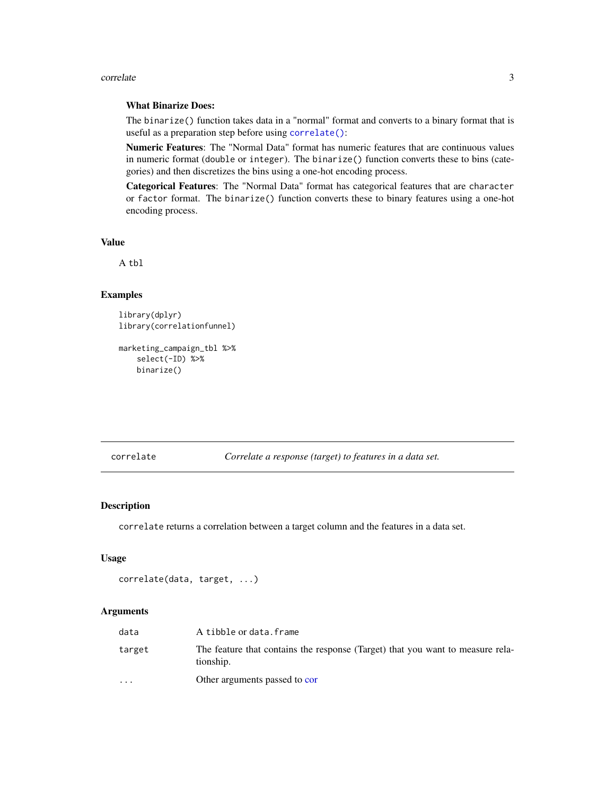#### <span id="page-2-0"></span>correlate 3

#### What Binarize Does:

The binarize() function takes data in a "normal" format and converts to a binary format that is useful as a preparation step before using [correlate\(\)](#page-2-1):

Numeric Features: The "Normal Data" format has numeric features that are continuous values in numeric format (double or integer). The binarize() function converts these to bins (categories) and then discretizes the bins using a one-hot encoding process.

Categorical Features: The "Normal Data" format has categorical features that are character or factor format. The binarize() function converts these to binary features using a one-hot encoding process.

#### Value

A tbl

#### Examples

```
library(dplyr)
library(correlationfunnel)
```

```
marketing_campaign_tbl %>%
    select(-ID) %>%
   binarize()
```
<span id="page-2-1"></span>correlate *Correlate a response (target) to features in a data set.*

#### Description

correlate returns a correlation between a target column and the features in a data set.

#### Usage

```
correlate(data, target, ...)
```
#### Arguments

| data                    | A tibble or data.frame                                                                      |
|-------------------------|---------------------------------------------------------------------------------------------|
| target                  | The feature that contains the response (Target) that you want to measure rela-<br>tionship. |
| $\cdot$ $\cdot$ $\cdot$ | Other arguments passed to cor                                                               |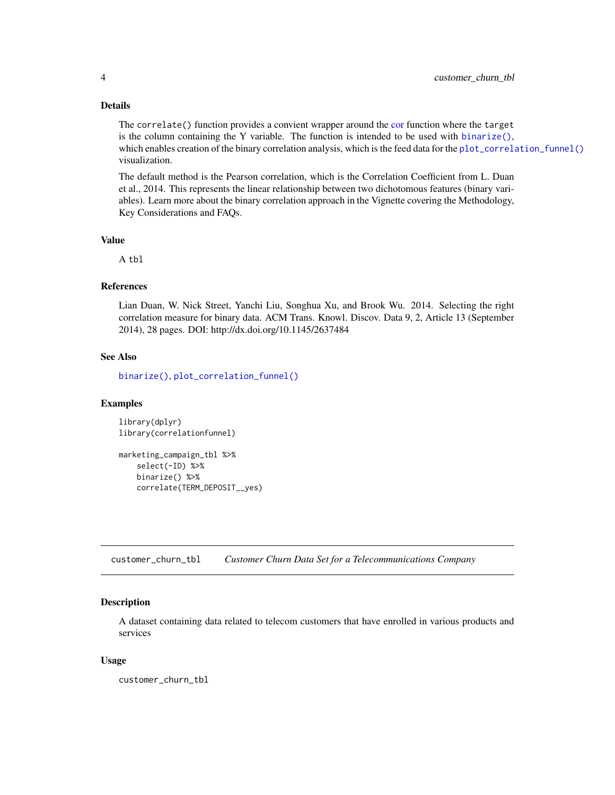#### Details

The correlate() function provides a convient wrapper around the [cor](#page-0-0) function where the target is the column containing the Y variable. The function is intended to be used with binarize $($ ), which enables creation of the binary correlation analysis, which is the feed data for the [plot\\_correlation\\_funnel\(\)](#page-6-1) visualization.

The default method is the Pearson correlation, which is the Correlation Coefficient from L. Duan et al., 2014. This represents the linear relationship between two dichotomous features (binary variables). Learn more about the binary correlation approach in the Vignette covering the Methodology, Key Considerations and FAQs.

#### Value

A tbl

#### References

Lian Duan, W. Nick Street, Yanchi Liu, Songhua Xu, and Brook Wu. 2014. Selecting the right correlation measure for binary data. ACM Trans. Knowl. Discov. Data 9, 2, Article 13 (September 2014), 28 pages. DOI: http://dx.doi.org/10.1145/2637484

#### See Also

[binarize\(\)](#page-1-1), [plot\\_correlation\\_funnel\(\)](#page-6-1)

#### Examples

library(dplyr) library(correlationfunnel)

```
marketing_campaign_tbl %>%
   select(-ID) %>%
   binarize() %>%
   correlate(TERM_DEPOSIT__yes)
```
customer\_churn\_tbl *Customer Churn Data Set for a Telecommunications Company*

#### **Description**

A dataset containing data related to telecom customers that have enrolled in various products and services

#### Usage

customer\_churn\_tbl

<span id="page-3-0"></span>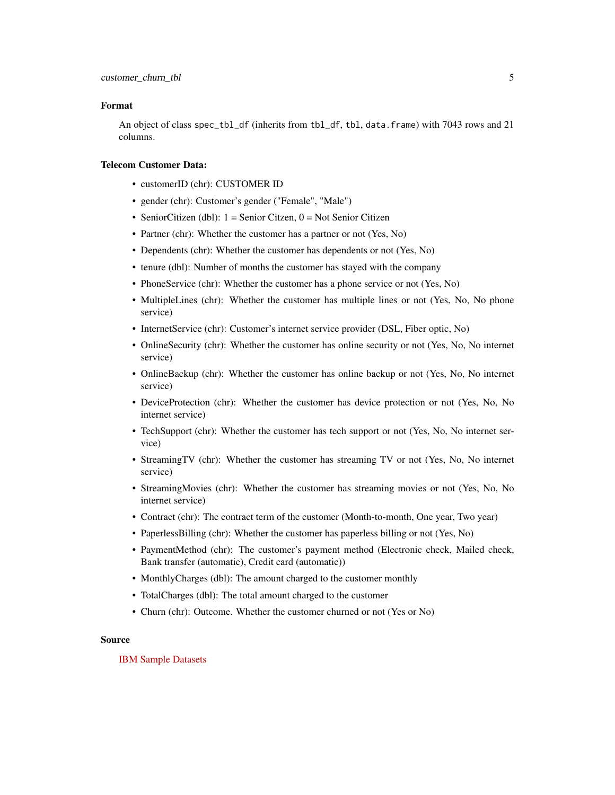#### Format

An object of class spec\_tbl\_df (inherits from tbl\_df, tbl, data.frame) with 7043 rows and 21 columns.

#### Telecom Customer Data:

- customerID (chr): CUSTOMER ID
- gender (chr): Customer's gender ("Female", "Male")
- SeniorCitizen (dbl):  $1 =$  Senior Citzen,  $0 =$  Not Senior Citizen
- Partner (chr): Whether the customer has a partner or not (Yes, No)
- Dependents (chr): Whether the customer has dependents or not (Yes, No)
- tenure (dbl): Number of months the customer has stayed with the company
- PhoneService (chr): Whether the customer has a phone service or not (Yes, No)
- MultipleLines (chr): Whether the customer has multiple lines or not (Yes, No, No phone service)
- InternetService (chr): Customer's internet service provider (DSL, Fiber optic, No)
- OnlineSecurity (chr): Whether the customer has online security or not (Yes, No, No internet service)
- OnlineBackup (chr): Whether the customer has online backup or not (Yes, No, No internet service)
- DeviceProtection (chr): Whether the customer has device protection or not (Yes, No, No internet service)
- TechSupport (chr): Whether the customer has tech support or not (Yes, No, No internet service)
- StreamingTV (chr): Whether the customer has streaming TV or not (Yes, No, No internet service)
- StreamingMovies (chr): Whether the customer has streaming movies or not (Yes, No, No internet service)
- Contract (chr): The contract term of the customer (Month-to-month, One year, Two year)
- PaperlessBilling (chr): Whether the customer has paperless billing or not (Yes, No)
- PaymentMethod (chr): The customer's payment method (Electronic check, Mailed check, Bank transfer (automatic), Credit card (automatic))
- MonthlyCharges (dbl): The amount charged to the customer monthly
- TotalCharges (dbl): The total amount charged to the customer
- Churn (chr): Outcome. Whether the customer churned or not (Yes or No)

#### Source

#### [IBM Sample Datasets](https://community.ibm.com/community/user/gettingstarted/home)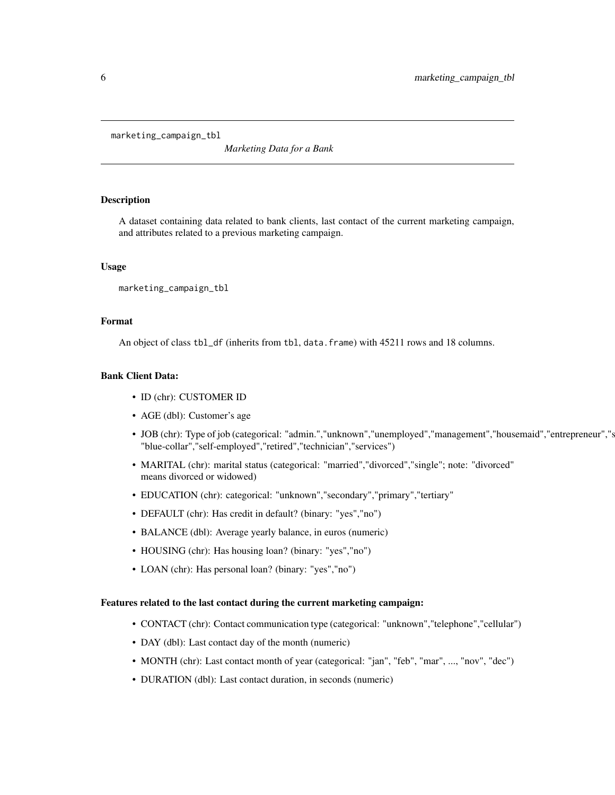<span id="page-5-0"></span>marketing\_campaign\_tbl

*Marketing Data for a Bank*

#### Description

A dataset containing data related to bank clients, last contact of the current marketing campaign, and attributes related to a previous marketing campaign.

#### Usage

```
marketing_campaign_tbl
```
#### Format

An object of class tbl\_df (inherits from tbl, data.frame) with 45211 rows and 18 columns.

#### Bank Client Data:

- ID (chr): CUSTOMER ID
- AGE (dbl): Customer's age
- JOB (chr): Type of job (categorical: "admin.","unknown","unemployed","management","housemaid","entrepreneur","s "blue-collar","self-employed","retired","technician","services")
- MARITAL (chr): marital status (categorical: "married","divorced","single"; note: "divorced" means divorced or widowed)
- EDUCATION (chr): categorical: "unknown","secondary","primary","tertiary"
- DEFAULT (chr): Has credit in default? (binary: "yes","no")
- BALANCE (dbl): Average yearly balance, in euros (numeric)
- HOUSING (chr): Has housing loan? (binary: "yes","no")
- LOAN (chr): Has personal loan? (binary: "yes","no")

#### Features related to the last contact during the current marketing campaign:

- CONTACT (chr): Contact communication type (categorical: "unknown","telephone","cellular")
- DAY (dbl): Last contact day of the month (numeric)
- MONTH (chr): Last contact month of year (categorical: "jan", "feb", "mar", ..., "nov", "dec")
- DURATION (dbl): Last contact duration, in seconds (numeric)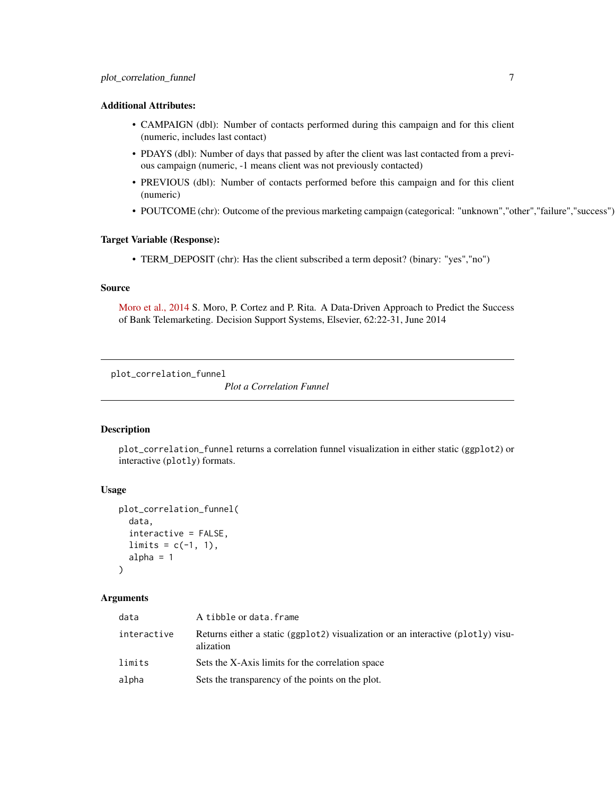#### <span id="page-6-0"></span>Additional Attributes:

- CAMPAIGN (dbl): Number of contacts performed during this campaign and for this client (numeric, includes last contact)
- PDAYS (dbl): Number of days that passed by after the client was last contacted from a previous campaign (numeric, -1 means client was not previously contacted)
- PREVIOUS (dbl): Number of contacts performed before this campaign and for this client (numeric)
- POUTCOME (chr): Outcome of the previous marketing campaign (categorical: "unknown","other","failure","success")

#### Target Variable (Response):

• TERM\_DEPOSIT (chr): Has the client subscribed a term deposit? (binary: "yes","no")

#### Source

[Moro et al., 2014](https://archive.ics.uci.edu/ml/datasets/Bank+Marketing) S. Moro, P. Cortez and P. Rita. A Data-Driven Approach to Predict the Success of Bank Telemarketing. Decision Support Systems, Elsevier, 62:22-31, June 2014

<span id="page-6-1"></span>plot\_correlation\_funnel

*Plot a Correlation Funnel*

#### Description

plot\_correlation\_funnel returns a correlation funnel visualization in either static (ggplot2) or interactive (plotly) formats.

#### Usage

```
plot_correlation_funnel(
  data,
  interactive = FALSE,
  limits = c(-1, 1),alpha = 1)
```
#### Arguments

| data        | A tibble or data.frame                                                                        |
|-------------|-----------------------------------------------------------------------------------------------|
| interactive | Returns either a static (ggplot2) visualization or an interactive (plot1y) visu-<br>alization |
| limits      | Sets the X-Axis limits for the correlation space                                              |
| alpha       | Sets the transparency of the points on the plot.                                              |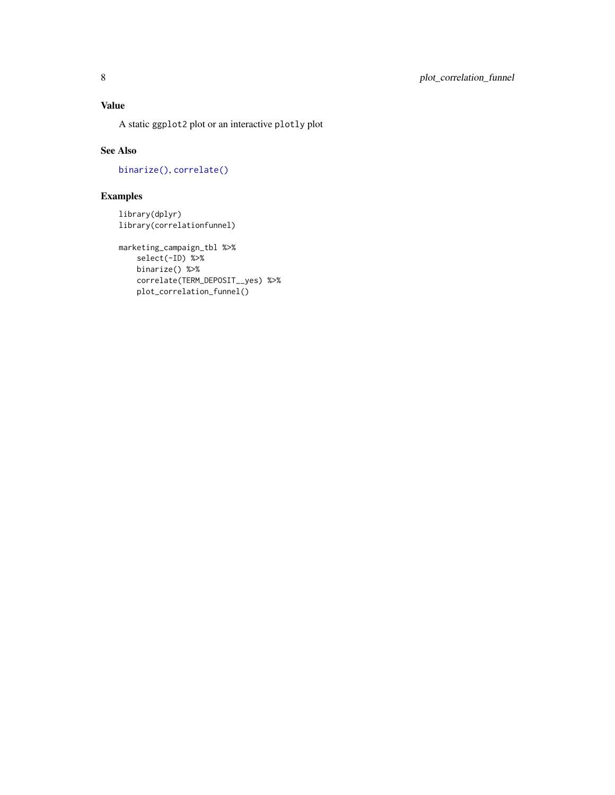#### <span id="page-7-0"></span>Value

A static ggplot2 plot or an interactive plotly plot

#### See Also

[binarize\(\)](#page-1-1), [correlate\(\)](#page-2-1)

#### Examples

library(dplyr) library(correlationfunnel)

```
marketing_campaign_tbl %>%
   select(-ID) %>%
   binarize() %>%
   correlate(TERM_DEPOSIT__yes) %>%
   plot_correlation_funnel()
```